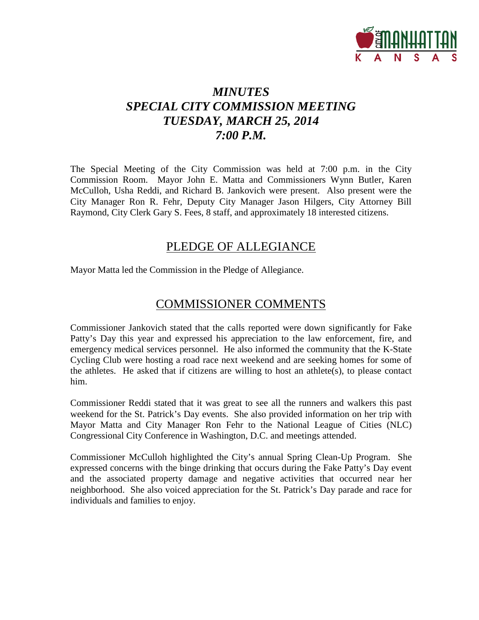

# *MINUTES SPECIAL CITY COMMISSION MEETING TUESDAY, MARCH 25, 2014 7:00 P.M.*

The Special Meeting of the City Commission was held at 7:00 p.m. in the City Commission Room. Mayor John E. Matta and Commissioners Wynn Butler, Karen McCulloh, Usha Reddi, and Richard B. Jankovich were present. Also present were the City Manager Ron R. Fehr, Deputy City Manager Jason Hilgers, City Attorney Bill Raymond, City Clerk Gary S. Fees, 8 staff, and approximately 18 interested citizens.

# PLEDGE OF ALLEGIANCE

Mayor Matta led the Commission in the Pledge of Allegiance.

# COMMISSIONER COMMENTS

Commissioner Jankovich stated that the calls reported were down significantly for Fake Patty's Day this year and expressed his appreciation to the law enforcement, fire, and emergency medical services personnel. He also informed the community that the K-State Cycling Club were hosting a road race next weekend and are seeking homes for some of the athletes. He asked that if citizens are willing to host an athlete(s), to please contact him.

Commissioner Reddi stated that it was great to see all the runners and walkers this past weekend for the St. Patrick's Day events. She also provided information on her trip with Mayor Matta and City Manager Ron Fehr to the National League of Cities (NLC) Congressional City Conference in Washington, D.C. and meetings attended.

Commissioner McCulloh highlighted the City's annual Spring Clean-Up Program. She expressed concerns with the binge drinking that occurs during the Fake Patty's Day event and the associated property damage and negative activities that occurred near her neighborhood. She also voiced appreciation for the St. Patrick's Day parade and race for individuals and families to enjoy.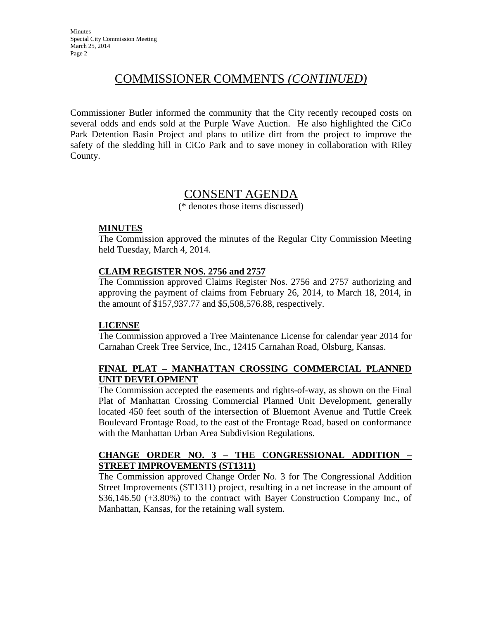# COMMISSIONER COMMENTS *(CONTINUED)*

Commissioner Butler informed the community that the City recently recouped costs on several odds and ends sold at the Purple Wave Auction. He also highlighted the CiCo Park Detention Basin Project and plans to utilize dirt from the project to improve the safety of the sledding hill in CiCo Park and to save money in collaboration with Riley County.

# CONSENT AGENDA

(\* denotes those items discussed)

### **MINUTES**

The Commission approved the minutes of the Regular City Commission Meeting held Tuesday, March 4, 2014.

## **CLAIM REGISTER NOS. 2756 and 2757**

The Commission approved Claims Register Nos. 2756 and 2757 authorizing and approving the payment of claims from February 26, 2014, to March 18, 2014, in the amount of \$157,937.77 and \$5,508,576.88, respectively.

### **LICENSE**

The Commission approved a Tree Maintenance License for calendar year 2014 for Carnahan Creek Tree Service, Inc., 12415 Carnahan Road, Olsburg, Kansas.

## **FINAL PLAT – MANHATTAN CROSSING COMMERCIAL PLANNED UNIT DEVELOPMENT**

The Commission accepted the easements and rights-of-way, as shown on the Final Plat of Manhattan Crossing Commercial Planned Unit Development, generally located 450 feet south of the intersection of Bluemont Avenue and Tuttle Creek Boulevard Frontage Road, to the east of the Frontage Road, based on conformance with the Manhattan Urban Area Subdivision Regulations.

## **CHANGE ORDER NO. 3 – THE CONGRESSIONAL ADDITION – STREET IMPROVEMENTS (ST1311)**

The Commission approved Change Order No. 3 for The Congressional Addition Street Improvements (ST1311) project, resulting in a net increase in the amount of \$36,146.50 (+3.80%) to the contract with Bayer Construction Company Inc., of Manhattan, Kansas, for the retaining wall system.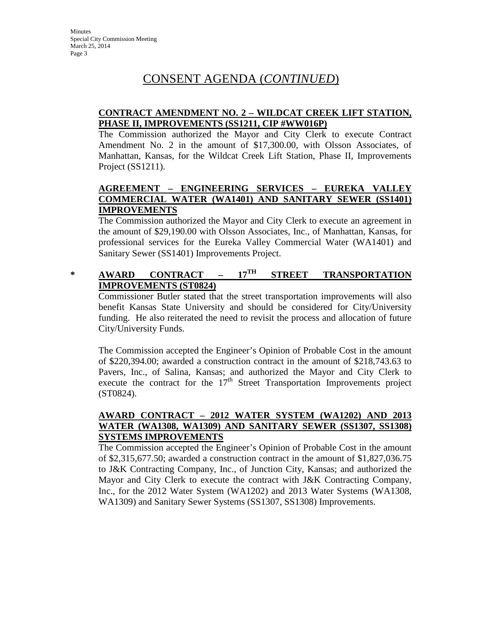#### **CONTRACT AMENDMENT NO. 2 – WILDCAT CREEK LIFT STATION, PHASE II, IMPROVEMENTS (SS1211, CIP #WW016P)**

The Commission authorized the Mayor and City Clerk to execute Contract Amendment No. 2 in the amount of \$17,300.00, with Olsson Associates, of Manhattan, Kansas, for the Wildcat Creek Lift Station, Phase II, Improvements Project (SS1211).

## **AGREEMENT – ENGINEERING SERVICES – EUREKA VALLEY COMMERCIAL WATER (WA1401) AND SANITARY SEWER (SS1401) IMPROVEMENTS**

The Commission authorized the Mayor and City Clerk to execute an agreement in the amount of \$29,190.00 with Olsson Associates, Inc., of Manhattan, Kansas, for professional services for the Eureka Valley Commercial Water (WA1401) and Sanitary Sewer (SS1401) Improvements Project.

# **\* AWARD CONTRACT – 17TH STREET TRANSPORTATION IMPROVEMENTS (ST0824)**

Commissioner Butler stated that the street transportation improvements will also benefit Kansas State University and should be considered for City/University funding. He also reiterated the need to revisit the process and allocation of future City/University Funds.

The Commission accepted the Engineer's Opinion of Probable Cost in the amount of \$220,394.00; awarded a construction contract in the amount of \$218,743.63 to Pavers, Inc., of Salina, Kansas; and authorized the Mayor and City Clerk to execute the contract for the  $17<sup>th</sup>$  Street Transportation Improvements project (ST0824).

#### **AWARD CONTRACT – 2012 WATER SYSTEM (WA1202) AND 2013 WATER (WA1308, WA1309) AND SANITARY SEWER (SS1307, SS1308) SYSTEMS IMPROVEMENTS**

The Commission accepted the Engineer's Opinion of Probable Cost in the amount of \$2,315,677.50; awarded a construction contract in the amount of \$1,827,036.75 to J&K Contracting Company, Inc., of Junction City, Kansas; and authorized the Mayor and City Clerk to execute the contract with J&K Contracting Company, Inc., for the 2012 Water System (WA1202) and 2013 Water Systems (WA1308, WA1309) and Sanitary Sewer Systems (SS1307, SS1308) Improvements.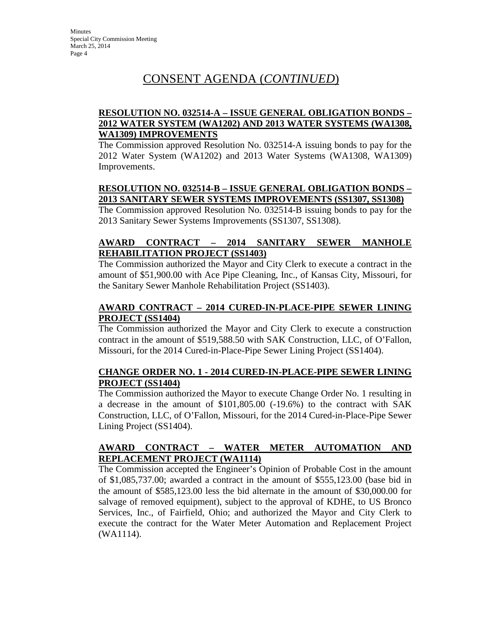#### **RESOLUTION NO. 032514-A – ISSUE GENERAL OBLIGATION BONDS – 2012 WATER SYSTEM (WA1202) AND 2013 WATER SYSTEMS (WA1308, WA1309) IMPROVEMENTS**

The Commission approved Resolution No. 032514-A issuing bonds to pay for the 2012 Water System (WA1202) and 2013 Water Systems (WA1308, WA1309) Improvements.

## **RESOLUTION NO. 032514-B – ISSUE GENERAL OBLIGATION BONDS – 2013 SANITARY SEWER SYSTEMS IMPROVEMENTS (SS1307, SS1308)**

The Commission approved Resolution No. 032514-B issuing bonds to pay for the 2013 Sanitary Sewer Systems Improvements (SS1307, SS1308).

## **AWARD CONTRACT – 2014 SANITARY SEWER MANHOLE REHABILITATION PROJECT (SS1403)**

The Commission authorized the Mayor and City Clerk to execute a contract in the amount of \$51,900.00 with Ace Pipe Cleaning, Inc., of Kansas City, Missouri, for the Sanitary Sewer Manhole Rehabilitation Project (SS1403).

### **AWARD CONTRACT – 2014 CURED-IN-PLACE-PIPE SEWER LINING PROJECT (SS1404)**

The Commission authorized the Mayor and City Clerk to execute a construction contract in the amount of \$519,588.50 with SAK Construction, LLC, of O'Fallon, Missouri, for the 2014 Cured-in-Place-Pipe Sewer Lining Project (SS1404).

### **CHANGE ORDER NO. 1 - 2014 CURED-IN-PLACE-PIPE SEWER LINING PROJECT (SS1404)**

The Commission authorized the Mayor to execute Change Order No. 1 resulting in a decrease in the amount of \$101,805.00 (-19.6%) to the contract with SAK Construction, LLC, of O'Fallon, Missouri, for the 2014 Cured-in-Place-Pipe Sewer Lining Project (SS1404).

## **AWARD CONTRACT – WATER METER AUTOMATION AND REPLACEMENT PROJECT (WA1114)**

The Commission accepted the Engineer's Opinion of Probable Cost in the amount of \$1,085,737.00; awarded a contract in the amount of \$555,123.00 (base bid in the amount of \$585,123.00 less the bid alternate in the amount of \$30,000.00 for salvage of removed equipment), subject to the approval of KDHE, to US Bronco Services, Inc., of Fairfield, Ohio; and authorized the Mayor and City Clerk to execute the contract for the Water Meter Automation and Replacement Project (WA1114).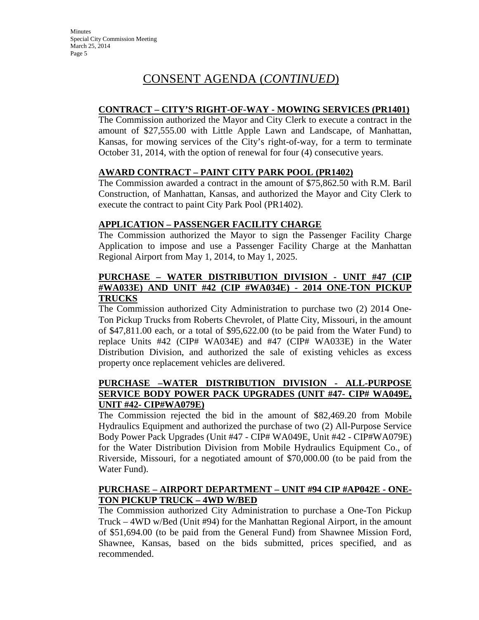### **CONTRACT – CITY'S RIGHT-OF-WAY - MOWING SERVICES (PR1401)**

The Commission authorized the Mayor and City Clerk to execute a contract in the amount of \$27,555.00 with Little Apple Lawn and Landscape, of Manhattan, Kansas, for mowing services of the City's right-of-way, for a term to terminate October 31, 2014, with the option of renewal for four (4) consecutive years.

#### **AWARD CONTRACT – PAINT CITY PARK POOL (PR1402)**

The Commission awarded a contract in the amount of \$75,862.50 with R.M. Baril Construction, of Manhattan, Kansas, and authorized the Mayor and City Clerk to execute the contract to paint City Park Pool (PR1402).

#### **APPLICATION – PASSENGER FACILITY CHARGE**

The Commission authorized the Mayor to sign the Passenger Facility Charge Application to impose and use a Passenger Facility Charge at the Manhattan Regional Airport from May 1, 2014, to May 1, 2025.

#### **PURCHASE – WATER DISTRIBUTION DIVISION - UNIT #47 (CIP #WA033E) AND UNIT #42 (CIP #WA034E) - 2014 ONE-TON PICKUP TRUCKS**

The Commission authorized City Administration to purchase two (2) 2014 One-Ton Pickup Trucks from Roberts Chevrolet, of Platte City, Missouri, in the amount of \$47,811.00 each, or a total of \$95,622.00 (to be paid from the Water Fund) to replace Units #42 (CIP# WA034E) and #47 (CIP# WA033E) in the Water Distribution Division, and authorized the sale of existing vehicles as excess property once replacement vehicles are delivered.

### **PURCHASE –WATER DISTRIBUTION DIVISION - ALL-PURPOSE SERVICE BODY POWER PACK UPGRADES (UNIT #47- CIP# WA049E, UNIT #42- CIP#WA079E)**

The Commission rejected the bid in the amount of \$82,469.20 from Mobile Hydraulics Equipment and authorized the purchase of two (2) All-Purpose Service Body Power Pack Upgrades (Unit #47 - CIP# WA049E, Unit #42 - CIP#WA079E) for the Water Distribution Division from Mobile Hydraulics Equipment Co., of Riverside, Missouri, for a negotiated amount of \$70,000.00 (to be paid from the Water Fund).

#### **PURCHASE – AIRPORT DEPARTMENT – UNIT #94 CIP #AP042E - ONE-TON PICKUP TRUCK – 4WD W/BED**

The Commission authorized City Administration to purchase a One-Ton Pickup Truck – 4WD w/Bed (Unit #94) for the Manhattan Regional Airport, in the amount of \$51,694.00 (to be paid from the General Fund) from Shawnee Mission Ford, Shawnee, Kansas, based on the bids submitted, prices specified, and as recommended.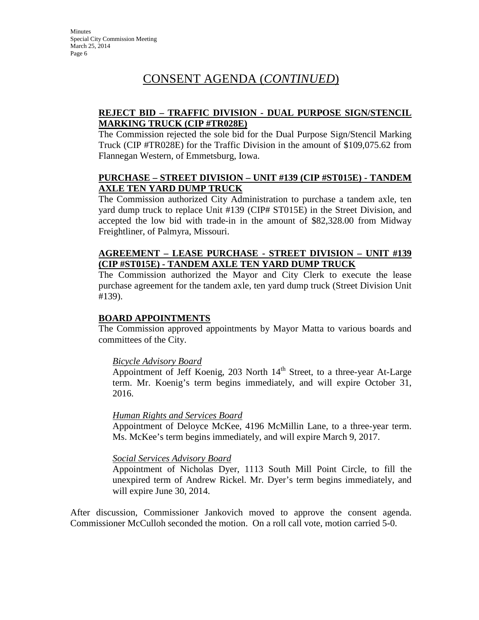### **REJECT BID – TRAFFIC DIVISION - DUAL PURPOSE SIGN/STENCIL MARKING TRUCK (CIP #TR028E)**

The Commission rejected the sole bid for the Dual Purpose Sign/Stencil Marking Truck (CIP #TR028E) for the Traffic Division in the amount of \$109,075.62 from Flannegan Western, of Emmetsburg, Iowa.

#### **PURCHASE – STREET DIVISION – UNIT #139 (CIP #ST015E) - TANDEM AXLE TEN YARD DUMP TRUCK**

The Commission authorized City Administration to purchase a tandem axle, ten yard dump truck to replace Unit #139 (CIP# ST015E) in the Street Division, and accepted the low bid with trade-in in the amount of \$82,328.00 from Midway Freightliner, of Palmyra, Missouri.

### **AGREEMENT – LEASE PURCHASE - STREET DIVISION – UNIT #139 (CIP #ST015E) - TANDEM AXLE TEN YARD DUMP TRUCK**

The Commission authorized the Mayor and City Clerk to execute the lease purchase agreement for the tandem axle, ten yard dump truck (Street Division Unit #139).

### **BOARD APPOINTMENTS**

The Commission approved appointments by Mayor Matta to various boards and committees of the City.

### *Bicycle Advisory Board*

Appointment of Jeff Koenig, 203 North  $14<sup>th</sup>$  Street, to a three-year At-Large term. Mr. Koenig's term begins immediately, and will expire October 31, 2016.

### *Human Rights and Services Board*

Appointment of Deloyce McKee, 4196 McMillin Lane, to a three-year term. Ms. McKee's term begins immediately, and will expire March 9, 2017.

### *Social Services Advisory Board*

Appointment of Nicholas Dyer, 1113 South Mill Point Circle, to fill the unexpired term of Andrew Rickel. Mr. Dyer's term begins immediately, and will expire June 30, 2014.

After discussion, Commissioner Jankovich moved to approve the consent agenda. Commissioner McCulloh seconded the motion. On a roll call vote, motion carried 5-0.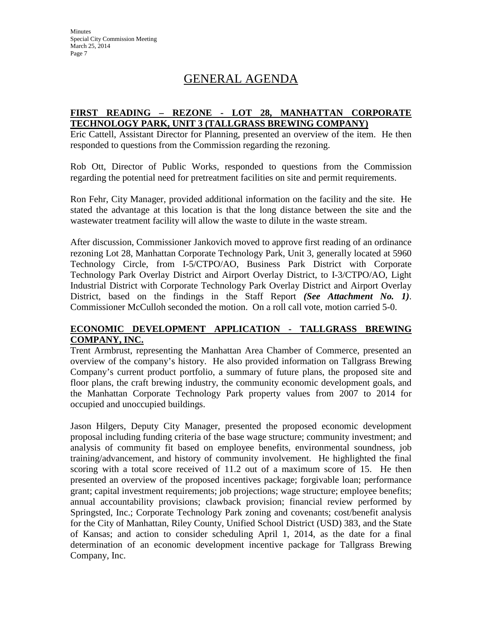# GENERAL AGENDA

#### **FIRST READING – REZONE - LOT 28, MANHATTAN CORPORATE TECHNOLOGY PARK, UNIT 3 (TALLGRASS BREWING COMPANY)**

Eric Cattell, Assistant Director for Planning, presented an overview of the item. He then responded to questions from the Commission regarding the rezoning.

Rob Ott, Director of Public Works, responded to questions from the Commission regarding the potential need for pretreatment facilities on site and permit requirements.

Ron Fehr, City Manager, provided additional information on the facility and the site. He stated the advantage at this location is that the long distance between the site and the wastewater treatment facility will allow the waste to dilute in the waste stream.

After discussion, Commissioner Jankovich moved to approve first reading of an ordinance rezoning Lot 28, Manhattan Corporate Technology Park, Unit 3, generally located at 5960 Technology Circle, from I-5/CTPO/AO, Business Park District with Corporate Technology Park Overlay District and Airport Overlay District, to I-3/CTPO/AO, Light Industrial District with Corporate Technology Park Overlay District and Airport Overlay District, based on the findings in the Staff Report *(See Attachment No. 1)*. Commissioner McCulloh seconded the motion. On a roll call vote, motion carried 5-0.

### **ECONOMIC DEVELOPMENT APPLICATION - TALLGRASS BREWING COMPANY, INC.**

Trent Armbrust, representing the Manhattan Area Chamber of Commerce, presented an overview of the company's history. He also provided information on Tallgrass Brewing Company's current product portfolio, a summary of future plans, the proposed site and floor plans, the craft brewing industry, the community economic development goals, and the Manhattan Corporate Technology Park property values from 2007 to 2014 for occupied and unoccupied buildings.

Jason Hilgers, Deputy City Manager, presented the proposed economic development proposal including funding criteria of the base wage structure; community investment; and analysis of community fit based on employee benefits, environmental soundness, job training/advancement, and history of community involvement. He highlighted the final scoring with a total score received of 11.2 out of a maximum score of 15. He then presented an overview of the proposed incentives package; forgivable loan; performance grant; capital investment requirements; job projections; wage structure; employee benefits; annual accountability provisions; clawback provision; financial review performed by Springsted, Inc.; Corporate Technology Park zoning and covenants; cost/benefit analysis for the City of Manhattan, Riley County, Unified School District (USD) 383, and the State of Kansas; and action to consider scheduling April 1, 2014, as the date for a final determination of an economic development incentive package for Tallgrass Brewing Company, Inc.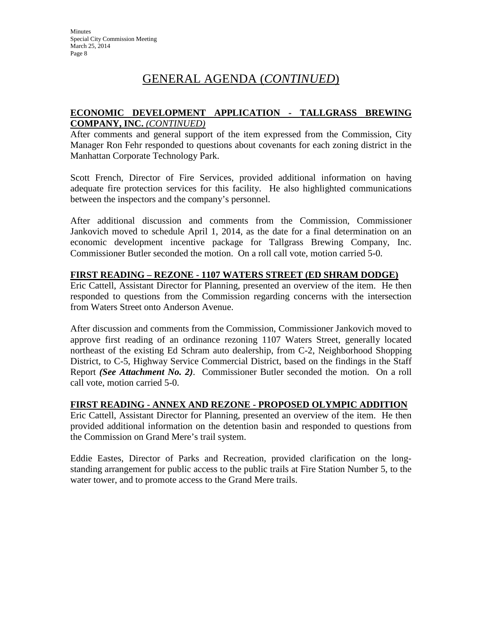# GENERAL AGENDA (*CONTINUED*)

#### **ECONOMIC DEVELOPMENT APPLICATION - TALLGRASS BREWING COMPANY, INC.** *(CONTINUED)*

After comments and general support of the item expressed from the Commission, City Manager Ron Fehr responded to questions about covenants for each zoning district in the Manhattan Corporate Technology Park.

Scott French, Director of Fire Services, provided additional information on having adequate fire protection services for this facility. He also highlighted communications between the inspectors and the company's personnel.

After additional discussion and comments from the Commission, Commissioner Jankovich moved to schedule April 1, 2014, as the date for a final determination on an economic development incentive package for Tallgrass Brewing Company, Inc. Commissioner Butler seconded the motion. On a roll call vote, motion carried 5-0.

### **FIRST READING – REZONE - 1107 WATERS STREET (ED SHRAM DODGE)**

Eric Cattell, Assistant Director for Planning, presented an overview of the item. He then responded to questions from the Commission regarding concerns with the intersection from Waters Street onto Anderson Avenue.

After discussion and comments from the Commission, Commissioner Jankovich moved to approve first reading of an ordinance rezoning 1107 Waters Street, generally located northeast of the existing Ed Schram auto dealership, from C-2, Neighborhood Shopping District, to C-5, Highway Service Commercial District, based on the findings in the Staff Report *(See Attachment No. 2)*. Commissioner Butler seconded the motion. On a roll call vote, motion carried 5-0.

### **FIRST READING - ANNEX AND REZONE - PROPOSED OLYMPIC ADDITION**

Eric Cattell, Assistant Director for Planning, presented an overview of the item. He then provided additional information on the detention basin and responded to questions from the Commission on Grand Mere's trail system.

Eddie Eastes, Director of Parks and Recreation, provided clarification on the longstanding arrangement for public access to the public trails at Fire Station Number 5, to the water tower, and to promote access to the Grand Mere trails.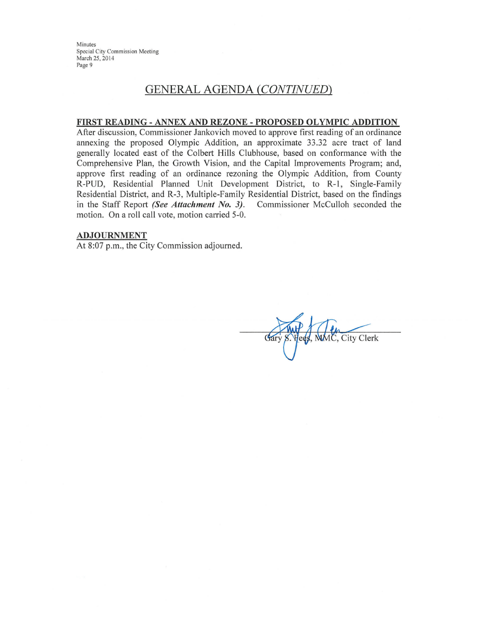Minutes Special City Commission Meeting March 25, 2014 Page 9

# **GENERAL AGENDA (CONTINUED)**

#### FIRST READING - ANNEX AND REZONE - PROPOSED OLYMPIC ADDITION

After discussion, Commissioner Jankovich moved to approve first reading of an ordinance annexing the proposed Olympic Addition, an approximate 33.32 acre tract of land generally located east of the Colbert Hills Clubhouse, based on conformance with the Comprehensive Plan, the Growth Vision, and the Capital Improvements Program; and, approve first reading of an ordinance rezoning the Olympic Addition, from County R-PUD, Residential Planned Unit Development District, to R-1, Single-Family Residential District, and R-3, Multiple-Family Residential District, based on the findings in the Staff Report (See Attachment No. 3). Commissioner McCulloh seconded the motion. On a roll call vote, motion carried 5-0.

#### **ADJOURNMENT**

At 8:07 p.m., the City Commission adjourned.

Fees, MMC, City Clerk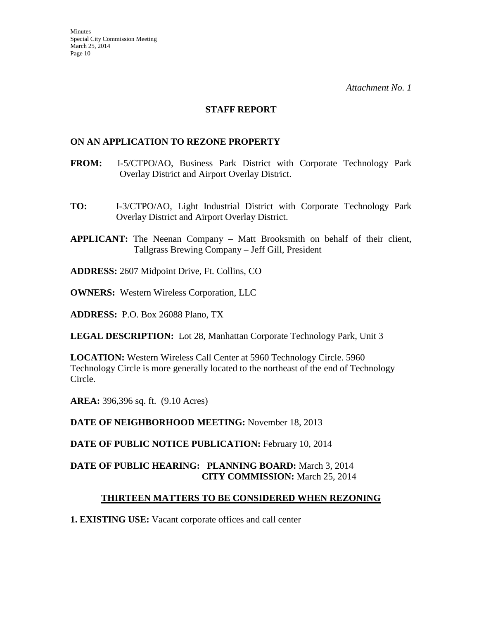#### **STAFF REPORT**

#### **ON AN APPLICATION TO REZONE PROPERTY**

- **FROM:** I-5/CTPO/AO, Business Park District with Corporate Technology Park Overlay District and Airport Overlay District.
- **TO:** I-3/CTPO/AO, Light Industrial District with Corporate Technology Park Overlay District and Airport Overlay District.
- **APPLICANT:** The Neenan Company Matt Brooksmith on behalf of their client, Tallgrass Brewing Company – Jeff Gill, President

**ADDRESS:** 2607 Midpoint Drive, Ft. Collins, CO

**OWNERS:** Western Wireless Corporation, LLC

**ADDRESS:** P.O. Box 26088 Plano, TX

**LEGAL DESCRIPTION:** Lot 28, Manhattan Corporate Technology Park, Unit 3

**LOCATION:** Western Wireless Call Center at 5960 Technology Circle. 5960 Technology Circle is more generally located to the northeast of the end of Technology Circle.

**AREA:** 396,396 sq. ft. (9.10 Acres)

**DATE OF NEIGHBORHOOD MEETING:** November 18, 2013

**DATE OF PUBLIC NOTICE PUBLICATION:** February 10, 2014

### **DATE OF PUBLIC HEARING: PLANNING BOARD:** March 3, 2014 **CITY COMMISSION:** March 25, 2014

### **THIRTEEN MATTERS TO BE CONSIDERED WHEN REZONING**

**1. EXISTING USE:** Vacant corporate offices and call center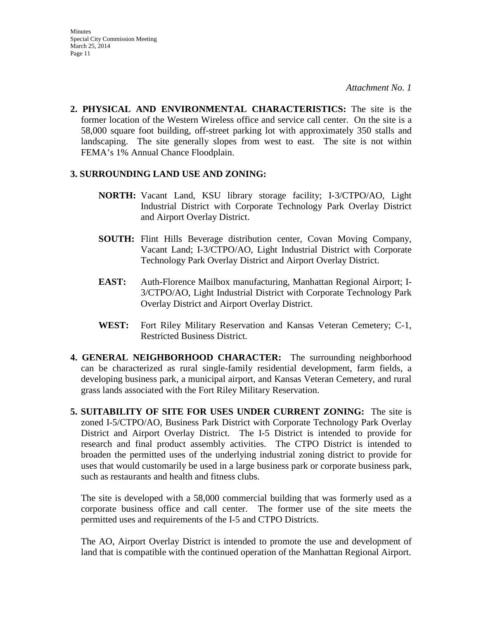**2. PHYSICAL AND ENVIRONMENTAL CHARACTERISTICS:** The site is the former location of the Western Wireless office and service call center. On the site is a 58,000 square foot building, off-street parking lot with approximately 350 stalls and landscaping. The site generally slopes from west to east. The site is not within FEMA's 1% Annual Chance Floodplain.

#### **3. SURROUNDING LAND USE AND ZONING:**

- **NORTH:** Vacant Land, KSU library storage facility; I-3/CTPO/AO, Light Industrial District with Corporate Technology Park Overlay District and Airport Overlay District.
- **SOUTH:** Flint Hills Beverage distribution center, Covan Moving Company, Vacant Land; I-3/CTPO/AO, Light Industrial District with Corporate Technology Park Overlay District and Airport Overlay District.
- **EAST:** Auth-Florence Mailbox manufacturing, Manhattan Regional Airport; I-3/CTPO/AO, Light Industrial District with Corporate Technology Park Overlay District and Airport Overlay District.
- **WEST:** Fort Riley Military Reservation and Kansas Veteran Cemetery; C-1, Restricted Business District.
- **4. GENERAL NEIGHBORHOOD CHARACTER:** The surrounding neighborhood can be characterized as rural single-family residential development, farm fields, a developing business park, a municipal airport, and Kansas Veteran Cemetery, and rural grass lands associated with the Fort Riley Military Reservation.
- **5. SUITABILITY OF SITE FOR USES UNDER CURRENT ZONING:** The site is zoned I-5/CTPO/AO, Business Park District with Corporate Technology Park Overlay District and Airport Overlay District. The I-5 District is intended to provide for research and final product assembly activities. The CTPO District is intended to broaden the permitted uses of the underlying industrial zoning district to provide for uses that would customarily be used in a large business park or corporate business park, such as restaurants and health and fitness clubs.

The site is developed with a 58,000 commercial building that was formerly used as a corporate business office and call center. The former use of the site meets the permitted uses and requirements of the I-5 and CTPO Districts.

The AO, Airport Overlay District is intended to promote the use and development of land that is compatible with the continued operation of the Manhattan Regional Airport.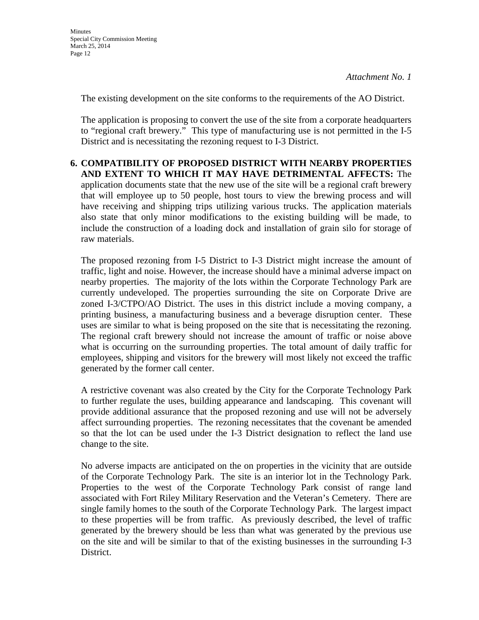The existing development on the site conforms to the requirements of the AO District.

The application is proposing to convert the use of the site from a corporate headquarters to "regional craft brewery." This type of manufacturing use is not permitted in the I-5 District and is necessitating the rezoning request to I-3 District.

**6. COMPATIBILITY OF PROPOSED DISTRICT WITH NEARBY PROPERTIES AND EXTENT TO WHICH IT MAY HAVE DETRIMENTAL AFFECTS:** The application documents state that the new use of the site will be a regional craft brewery that will employee up to 50 people, host tours to view the brewing process and will have receiving and shipping trips utilizing various trucks. The application materials also state that only minor modifications to the existing building will be made, to include the construction of a loading dock and installation of grain silo for storage of raw materials.

The proposed rezoning from I-5 District to I-3 District might increase the amount of traffic, light and noise. However, the increase should have a minimal adverse impact on nearby properties. The majority of the lots within the Corporate Technology Park are currently undeveloped. The properties surrounding the site on Corporate Drive are zoned I-3/CTPO/AO District. The uses in this district include a moving company, a printing business, a manufacturing business and a beverage disruption center. These uses are similar to what is being proposed on the site that is necessitating the rezoning. The regional craft brewery should not increase the amount of traffic or noise above what is occurring on the surrounding properties. The total amount of daily traffic for employees, shipping and visitors for the brewery will most likely not exceed the traffic generated by the former call center.

A restrictive covenant was also created by the City for the Corporate Technology Park to further regulate the uses, building appearance and landscaping. This covenant will provide additional assurance that the proposed rezoning and use will not be adversely affect surrounding properties. The rezoning necessitates that the covenant be amended so that the lot can be used under the I-3 District designation to reflect the land use change to the site.

No adverse impacts are anticipated on the on properties in the vicinity that are outside of the Corporate Technology Park. The site is an interior lot in the Technology Park. Properties to the west of the Corporate Technology Park consist of range land associated with Fort Riley Military Reservation and the Veteran's Cemetery. There are single family homes to the south of the Corporate Technology Park. The largest impact to these properties will be from traffic. As previously described, the level of traffic generated by the brewery should be less than what was generated by the previous use on the site and will be similar to that of the existing businesses in the surrounding I-3 District.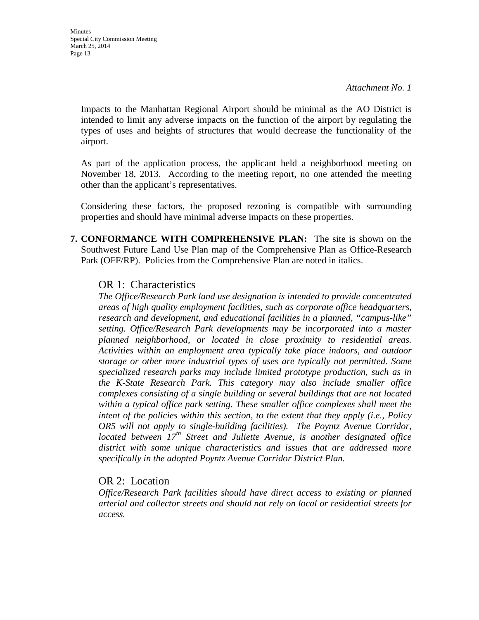Impacts to the Manhattan Regional Airport should be minimal as the AO District is intended to limit any adverse impacts on the function of the airport by regulating the types of uses and heights of structures that would decrease the functionality of the airport.

As part of the application process, the applicant held a neighborhood meeting on November 18, 2013. According to the meeting report, no one attended the meeting other than the applicant's representatives.

Considering these factors, the proposed rezoning is compatible with surrounding properties and should have minimal adverse impacts on these properties.

**7. CONFORMANCE WITH COMPREHENSIVE PLAN:** The site is shown on the Southwest Future Land Use Plan map of the Comprehensive Plan as Office-Research Park (OFF/RP). Policies from the Comprehensive Plan are noted in italics.

### OR 1: Characteristics

*The Office/Research Park land use designation is intended to provide concentrated areas of high quality employment facilities, such as corporate office headquarters, research and development, and educational facilities in a planned, "campus-like" setting. Office/Research Park developments may be incorporated into a master planned neighborhood, or located in close proximity to residential areas. Activities within an employment area typically take place indoors, and outdoor storage or other more industrial types of uses are typically not permitted. Some specialized research parks may include limited prototype production, such as in the K-State Research Park. This category may also include smaller office complexes consisting of a single building or several buildings that are not located*  within a typical office park setting. These smaller office complexes shall meet the *intent of the policies within this section, to the extent that they apply (i.e., Policy OR5 will not apply to single-building facilities). The Poyntz Avenue Corridor, located between 17th Street and Juliette Avenue, is another designated office district with some unique characteristics and issues that are addressed more specifically in the adopted Poyntz Avenue Corridor District Plan.* 

# OR 2: Location

*Office/Research Park facilities should have direct access to existing or planned arterial and collector streets and should not rely on local or residential streets for access.*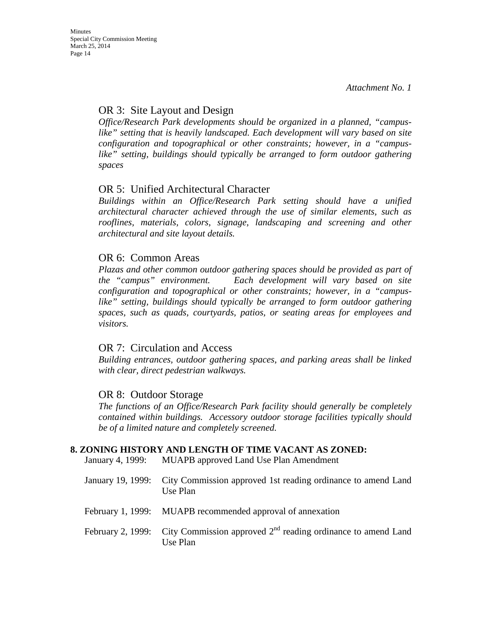# OR 3: Site Layout and Design

*Office/Research Park developments should be organized in a planned, "campus*like" setting that is heavily landscaped. Each development will vary based on site *configuration and topographical or other constraints; however, in a "campuslike" setting, buildings should typically be arranged to form outdoor gathering spaces*

# OR 5: Unified Architectural Character

*Buildings within an Office/Research Park setting should have a unified architectural character achieved through the use of similar elements, such as*  rooflines, materials, colors, signage, landscaping and screening and other *architectural and site layout details.* 

## OR 6: Common Areas

*Plazas and other common outdoor gathering spaces should be provided as part of the "campus" environment. Each development will vary based on site configuration and topographical or other constraints; however, in a "campuslike" setting, buildings should typically be arranged to form outdoor gathering spaces, such as quads, courtyards, patios, or seating areas for employees and visitors.* 

# OR 7: Circulation and Access

*Building entrances, outdoor gathering spaces, and parking areas shall be linked with clear, direct pedestrian walkways.* 

# OR 8: Outdoor Storage

*The functions of an Office/Research Park facility should generally be completely contained within buildings. Accessory outdoor storage facilities typically should be of a limited nature and completely screened.* 

### **8. ZONING HISTORY AND LENGTH OF TIME VACANT AS ZONED:**

January 4, 1999: MUAPB approved Land Use Plan Amendment

| January 19, 1999: City Commission approved 1st reading ordinance to amend Land<br>Use Plan   |
|----------------------------------------------------------------------------------------------|
| February 1, 1999: MUAPB recommended approval of annexation                                   |
| February 2, 1999: City Commission approved $2nd$ reading ordinance to amend Land<br>Use Plan |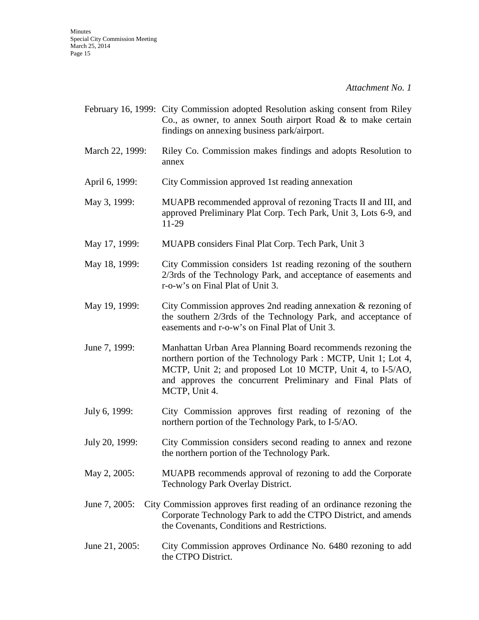|                 | February 16, 1999: City Commission adopted Resolution asking consent from Riley<br>Co., as owner, to annex South airport Road $\&$ to make certain<br>findings on annexing business park/airport.                                                                          |
|-----------------|----------------------------------------------------------------------------------------------------------------------------------------------------------------------------------------------------------------------------------------------------------------------------|
| March 22, 1999: | Riley Co. Commission makes findings and adopts Resolution to<br>annex                                                                                                                                                                                                      |
| April 6, 1999:  | City Commission approved 1st reading annexation                                                                                                                                                                                                                            |
| May 3, 1999:    | MUAPB recommended approval of rezoning Tracts II and III, and<br>approved Preliminary Plat Corp. Tech Park, Unit 3, Lots 6-9, and<br>11-29                                                                                                                                 |
| May 17, 1999:   | MUAPB considers Final Plat Corp. Tech Park, Unit 3                                                                                                                                                                                                                         |
| May 18, 1999:   | City Commission considers 1st reading rezoning of the southern<br>2/3rds of the Technology Park, and acceptance of easements and<br>r-o-w's on Final Plat of Unit 3.                                                                                                       |
| May 19, 1999:   | City Commission approves 2nd reading annexation & rezoning of<br>the southern 2/3rds of the Technology Park, and acceptance of<br>easements and r-o-w's on Final Plat of Unit 3.                                                                                           |
| June 7, 1999:   | Manhattan Urban Area Planning Board recommends rezoning the<br>northern portion of the Technology Park : MCTP, Unit 1; Lot 4,<br>MCTP, Unit 2; and proposed Lot 10 MCTP, Unit 4, to I-5/AO,<br>and approves the concurrent Preliminary and Final Plats of<br>MCTP, Unit 4. |
| July 6, 1999:   | City Commission approves first reading of rezoning of the<br>northern portion of the Technology Park, to I-5/AO.                                                                                                                                                           |
| July 20, 1999:  | City Commission considers second reading to annex and rezone<br>the northern portion of the Technology Park.                                                                                                                                                               |
| May 2, 2005:    | MUAPB recommends approval of rezoning to add the Corporate<br>Technology Park Overlay District.                                                                                                                                                                            |
| June 7, 2005:   | City Commission approves first reading of an ordinance rezoning the<br>Corporate Technology Park to add the CTPO District, and amends<br>the Covenants, Conditions and Restrictions.                                                                                       |
| June 21, 2005:  | City Commission approves Ordinance No. 6480 rezoning to add<br>the CTPO District.                                                                                                                                                                                          |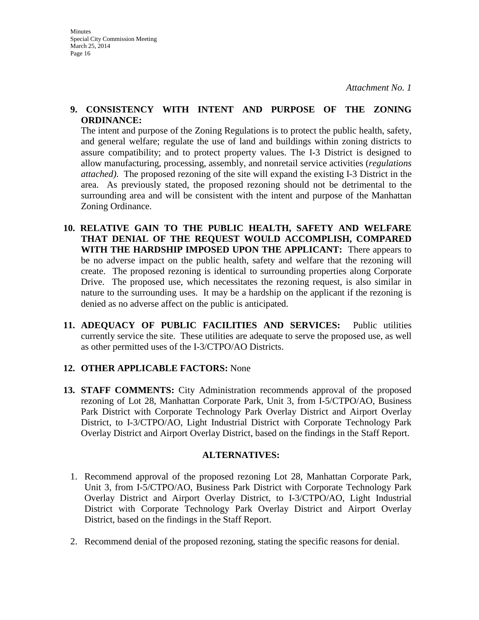#### **9. CONSISTENCY WITH INTENT AND PURPOSE OF THE ZONING ORDINANCE:**

The intent and purpose of the Zoning Regulations is to protect the public health, safety, and general welfare; regulate the use of land and buildings within zoning districts to assure compatibility; and to protect property values. The I-3 District is designed to allow manufacturing, processing, assembly, and nonretail service activities (*regulations attached)*. The proposed rezoning of the site will expand the existing I-3 District in the area. As previously stated, the proposed rezoning should not be detrimental to the surrounding area and will be consistent with the intent and purpose of the Manhattan Zoning Ordinance.

- **10. RELATIVE GAIN TO THE PUBLIC HEALTH, SAFETY AND WELFARE THAT DENIAL OF THE REQUEST WOULD ACCOMPLISH, COMPARED WITH THE HARDSHIP IMPOSED UPON THE APPLICANT:** There appears to be no adverse impact on the public health, safety and welfare that the rezoning will create. The proposed rezoning is identical to surrounding properties along Corporate Drive. The proposed use, which necessitates the rezoning request, is also similar in nature to the surrounding uses. It may be a hardship on the applicant if the rezoning is denied as no adverse affect on the public is anticipated.
- **11. ADEQUACY OF PUBLIC FACILITIES AND SERVICES:** Public utilities currently service the site. These utilities are adequate to serve the proposed use, as well as other permitted uses of the I-3/CTPO/AO Districts.

### **12. OTHER APPLICABLE FACTORS:** None

**13. STAFF COMMENTS:** City Administration recommends approval of the proposed rezoning of Lot 28, Manhattan Corporate Park, Unit 3, from I-5/CTPO/AO, Business Park District with Corporate Technology Park Overlay District and Airport Overlay District, to I-3/CTPO/AO, Light Industrial District with Corporate Technology Park Overlay District and Airport Overlay District, based on the findings in the Staff Report.

#### **ALTERNATIVES:**

- 1. Recommend approval of the proposed rezoning Lot 28, Manhattan Corporate Park, Unit 3, from I-5/CTPO/AO, Business Park District with Corporate Technology Park Overlay District and Airport Overlay District, to I-3/CTPO/AO, Light Industrial District with Corporate Technology Park Overlay District and Airport Overlay District, based on the findings in the Staff Report.
- 2. Recommend denial of the proposed rezoning, stating the specific reasons for denial.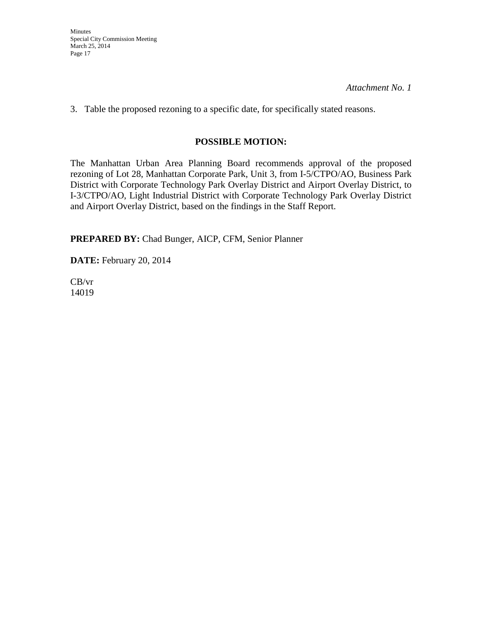Minutes Special City Commission Meeting March 25, 2014 Page 17

*Attachment No. 1* 

3. Table the proposed rezoning to a specific date, for specifically stated reasons.

## **POSSIBLE MOTION:**

The Manhattan Urban Area Planning Board recommends approval of the proposed rezoning of Lot 28, Manhattan Corporate Park, Unit 3, from I-5/CTPO/AO, Business Park District with Corporate Technology Park Overlay District and Airport Overlay District, to I-3/CTPO/AO, Light Industrial District with Corporate Technology Park Overlay District and Airport Overlay District, based on the findings in the Staff Report.

**PREPARED BY:** Chad Bunger, AICP, CFM, Senior Planner

**DATE:** February 20, 2014

CB/vr 14019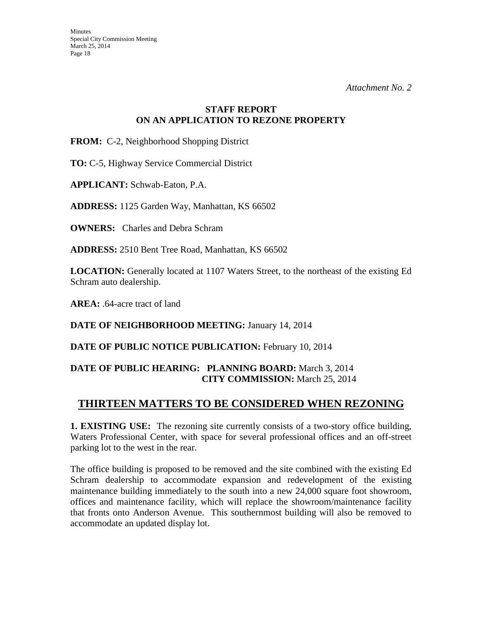### **STAFF REPORT ON AN APPLICATION TO REZONE PROPERTY**

**FROM:** C-2, Neighborhood Shopping District

**TO:** C-5, Highway Service Commercial District

**APPLICANT:** Schwab-Eaton, P.A.

**ADDRESS:** 1125 Garden Way, Manhattan, KS 66502

**OWNERS:** Charles and Debra Schram

**ADDRESS:** 2510 Bent Tree Road, Manhattan, KS 66502

**LOCATION:** Generally located at 1107 Waters Street, to the northeast of the existing Ed Schram auto dealership.

**AREA:** .64-acre tract of land

**DATE OF NEIGHBORHOOD MEETING:** January 14, 2014

DATE OF PUBLIC NOTICE PUBLICATION: February 10, 2014

## **DATE OF PUBLIC HEARING: PLANNING BOARD:** March 3, 2014 **CITY COMMISSION:** March 25, 2014

# **THIRTEEN MATTERS TO BE CONSIDERED WHEN REZONING**

**1. EXISTING USE:** The rezoning site currently consists of a two-story office building, Waters Professional Center, with space for several professional offices and an off-street parking lot to the west in the rear.

The office building is proposed to be removed and the site combined with the existing Ed Schram dealership to accommodate expansion and redevelopment of the existing maintenance building immediately to the south into a new 24,000 square foot showroom, offices and maintenance facility, which will replace the showroom/maintenance facility that fronts onto Anderson Avenue. This southernmost building will also be removed to accommodate an updated display lot.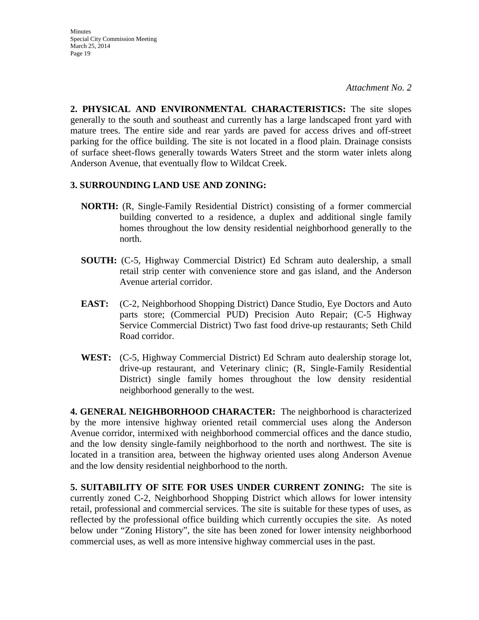Minutes Special City Commission Meeting March 25, 2014 Page 19

**2. PHYSICAL AND ENVIRONMENTAL CHARACTERISTICS:** The site slopes generally to the south and southeast and currently has a large landscaped front yard with mature trees. The entire side and rear yards are paved for access drives and off-street parking for the office building. The site is not located in a flood plain. Drainage consists of surface sheet-flows generally towards Waters Street and the storm water inlets along Anderson Avenue, that eventually flow to Wildcat Creek.

#### **3. SURROUNDING LAND USE AND ZONING:**

- **NORTH:** (R, Single-Family Residential District) consisting of a former commercial building converted to a residence, a duplex and additional single family homes throughout the low density residential neighborhood generally to the north.
- **SOUTH:** (C-5, Highway Commercial District) Ed Schram auto dealership, a small retail strip center with convenience store and gas island, and the Anderson Avenue arterial corridor.
- **EAST:** (C-2, Neighborhood Shopping District) Dance Studio, Eye Doctors and Auto parts store; (Commercial PUD) Precision Auto Repair; (C-5 Highway Service Commercial District) Two fast food drive-up restaurants; Seth Child Road corridor.
- **WEST:** (C-5, Highway Commercial District) Ed Schram auto dealership storage lot, drive-up restaurant, and Veterinary clinic; (R, Single-Family Residential District) single family homes throughout the low density residential neighborhood generally to the west.

**4. GENERAL NEIGHBORHOOD CHARACTER:** The neighborhood is characterized by the more intensive highway oriented retail commercial uses along the Anderson Avenue corridor, intermixed with neighborhood commercial offices and the dance studio, and the low density single-family neighborhood to the north and northwest. The site is located in a transition area, between the highway oriented uses along Anderson Avenue and the low density residential neighborhood to the north.

**5. SUITABILITY OF SITE FOR USES UNDER CURRENT ZONING:** The site is currently zoned C-2, Neighborhood Shopping District which allows for lower intensity retail, professional and commercial services. The site is suitable for these types of uses, as reflected by the professional office building which currently occupies the site. As noted below under "Zoning History", the site has been zoned for lower intensity neighborhood commercial uses, as well as more intensive highway commercial uses in the past.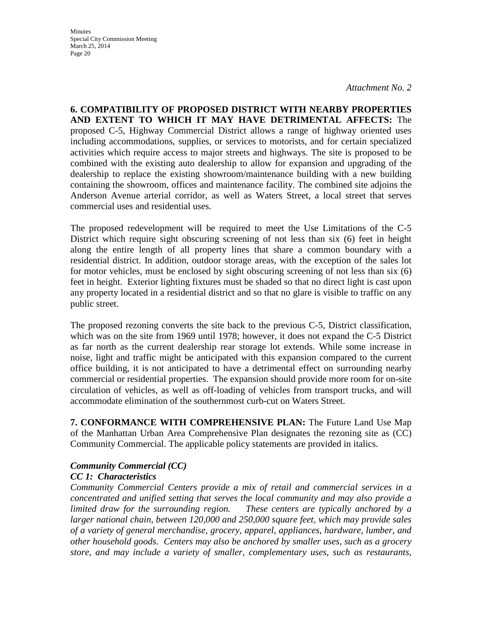**Minutes** Special City Commission Meeting March 25, 2014 Page 20

**6. COMPATIBILITY OF PROPOSED DISTRICT WITH NEARBY PROPERTIES AND EXTENT TO WHICH IT MAY HAVE DETRIMENTAL AFFECTS:** The proposed C-5, Highway Commercial District allows a range of highway oriented uses including accommodations, supplies, or services to motorists, and for certain specialized activities which require access to major streets and highways. The site is proposed to be combined with the existing auto dealership to allow for expansion and upgrading of the dealership to replace the existing showroom/maintenance building with a new building containing the showroom, offices and maintenance facility. The combined site adjoins the Anderson Avenue arterial corridor, as well as Waters Street, a local street that serves commercial uses and residential uses.

The proposed redevelopment will be required to meet the Use Limitations of the C-5 District which require sight obscuring screening of not less than six (6) feet in height along the entire length of all property lines that share a common boundary with a residential district. In addition, outdoor storage areas, with the exception of the sales lot for motor vehicles, must be enclosed by sight obscuring screening of not less than six (6) feet in height. Exterior lighting fixtures must be shaded so that no direct light is cast upon any property located in a residential district and so that no glare is visible to traffic on any public street.

The proposed rezoning converts the site back to the previous C-5, District classification, which was on the site from 1969 until 1978; however, it does not expand the C-5 District as far north as the current dealership rear storage lot extends. While some increase in noise, light and traffic might be anticipated with this expansion compared to the current office building, it is not anticipated to have a detrimental effect on surrounding nearby commercial or residential properties. The expansion should provide more room for on-site circulation of vehicles, as well as off-loading of vehicles from transport trucks, and will accommodate elimination of the southernmost curb-cut on Waters Street.

**7. CONFORMANCE WITH COMPREHENSIVE PLAN:** The Future Land Use Map of the Manhattan Urban Area Comprehensive Plan designates the rezoning site as (CC) Community Commercial. The applicable policy statements are provided in italics.

#### *Community Commercial (CC)*

#### *CC 1: Characteristics*

*Community Commercial Centers provide a mix of retail and commercial services in a concentrated and unified setting that serves the local community and may also provide a limited draw for the surrounding region. These centers are typically anchored by a larger national chain, between 120,000 and 250,000 square feet, which may provide sales of a variety of general merchandise, grocery, apparel, appliances, hardware, lumber, and other household goods. Centers may also be anchored by smaller uses, such as a grocery store, and may include a variety of smaller, complementary uses, such as restaurants,*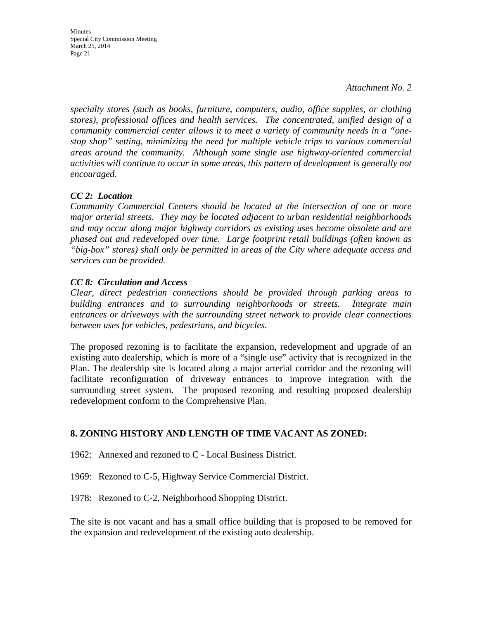**Minutes** Special City Commission Meeting March 25, 2014 Page 21

*specialty stores (such as books, furniture, computers, audio, office supplies, or clothing stores), professional offices and health services. The concentrated, unified design of a community commercial center allows it to meet a variety of community needs in a "onestop shop" setting, minimizing the need for multiple vehicle trips to various commercial areas around the community. Although some single use highway-oriented commercial*  activities will continue to occur in some areas, this pattern of development is generally not *encouraged.* 

#### *CC 2: Location*

*Community Commercial Centers should be located at the intersection of one or more major arterial streets. They may be located adjacent to urban residential neighborhoods and may occur along major highway corridors as existing uses become obsolete and are phased out and redeveloped over time. Large footprint retail buildings (often known as "big-box" stores) shall only be permitted in areas of the City where adequate access and services can be provided.* 

#### *CC 8: Circulation and Access*

*Clear, direct pedestrian connections should be provided through parking areas to building entrances and to surrounding neighborhoods or streets. Integrate main entrances or driveways with the surrounding street network to provide clear connections between uses for vehicles, pedestrians, and bicycles.*

The proposed rezoning is to facilitate the expansion, redevelopment and upgrade of an existing auto dealership, which is more of a "single use" activity that is recognized in the Plan. The dealership site is located along a major arterial corridor and the rezoning will facilitate reconfiguration of driveway entrances to improve integration with the surrounding street system. The proposed rezoning and resulting proposed dealership redevelopment conform to the Comprehensive Plan.

### **8. ZONING HISTORY AND LENGTH OF TIME VACANT AS ZONED:**

1962: Annexed and rezoned to C - Local Business District.

1969: Rezoned to C-5, Highway Service Commercial District.

1978: Rezoned to C-2, Neighborhood Shopping District.

The site is not vacant and has a small office building that is proposed to be removed for the expansion and redevelopment of the existing auto dealership.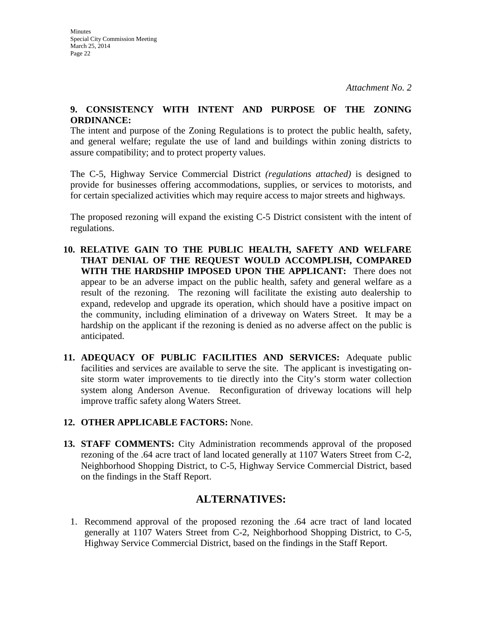#### **9. CONSISTENCY WITH INTENT AND PURPOSE OF THE ZONING ORDINANCE:**

The intent and purpose of the Zoning Regulations is to protect the public health, safety, and general welfare; regulate the use of land and buildings within zoning districts to assure compatibility; and to protect property values.

The C-5, Highway Service Commercial District *(regulations attached)* is designed to provide for businesses offering accommodations, supplies, or services to motorists, and for certain specialized activities which may require access to major streets and highways.

The proposed rezoning will expand the existing C-5 District consistent with the intent of regulations.

- **10. RELATIVE GAIN TO THE PUBLIC HEALTH, SAFETY AND WELFARE THAT DENIAL OF THE REQUEST WOULD ACCOMPLISH, COMPARED WITH THE HARDSHIP IMPOSED UPON THE APPLICANT:** There does not appear to be an adverse impact on the public health, safety and general welfare as a result of the rezoning. The rezoning will facilitate the existing auto dealership to expand, redevelop and upgrade its operation, which should have a positive impact on the community, including elimination of a driveway on Waters Street. It may be a hardship on the applicant if the rezoning is denied as no adverse affect on the public is anticipated.
- **11. ADEQUACY OF PUBLIC FACILITIES AND SERVICES:** Adequate public facilities and services are available to serve the site. The applicant is investigating onsite storm water improvements to tie directly into the City's storm water collection system along Anderson Avenue. Reconfiguration of driveway locations will help improve traffic safety along Waters Street.
- **12. OTHER APPLICABLE FACTORS:** None.
- **13. STAFF COMMENTS:** City Administration recommends approval of the proposed rezoning of the .64 acre tract of land located generally at 1107 Waters Street from C-2, Neighborhood Shopping District, to C-5, Highway Service Commercial District, based on the findings in the Staff Report.

# **ALTERNATIVES:**

1. Recommend approval of the proposed rezoning the .64 acre tract of land located generally at 1107 Waters Street from C-2, Neighborhood Shopping District, to C-5, Highway Service Commercial District, based on the findings in the Staff Report.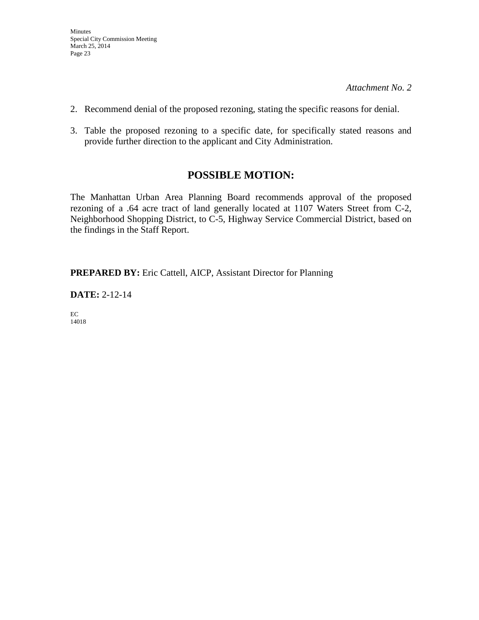- 2. Recommend denial of the proposed rezoning, stating the specific reasons for denial.
- 3. Table the proposed rezoning to a specific date, for specifically stated reasons and provide further direction to the applicant and City Administration.

# **POSSIBLE MOTION:**

The Manhattan Urban Area Planning Board recommends approval of the proposed rezoning of a .64 acre tract of land generally located at 1107 Waters Street from C-2, Neighborhood Shopping District, to C-5, Highway Service Commercial District, based on the findings in the Staff Report.

**PREPARED BY:** Eric Cattell, AICP, Assistant Director for Planning

**DATE:** 2-12-14

EC 14018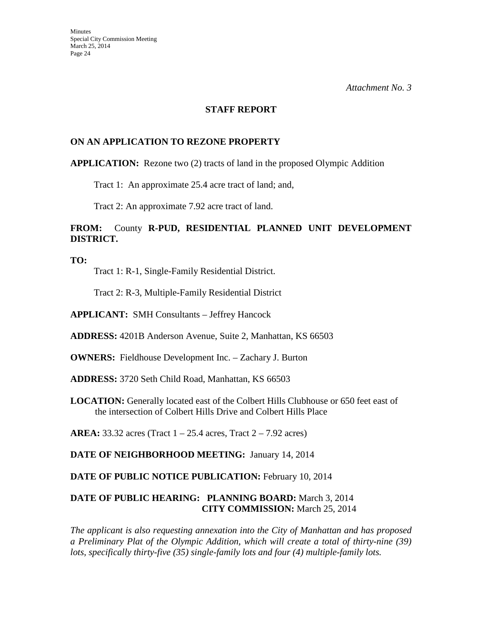#### **STAFF REPORT**

#### **ON AN APPLICATION TO REZONE PROPERTY**

#### **APPLICATION:** Rezone two (2) tracts of land in the proposed Olympic Addition

Tract 1: An approximate 25.4 acre tract of land; and,

Tract 2: An approximate 7.92 acre tract of land.

## **FROM:** County **R-PUD, RESIDENTIAL PLANNED UNIT DEVELOPMENT DISTRICT.**

**TO:** 

Tract 1: R-1, Single-Family Residential District.

Tract 2: R-3, Multiple-Family Residential District

**APPLICANT:** SMH Consultants – Jeffrey Hancock

**ADDRESS:** 4201B Anderson Avenue, Suite 2, Manhattan, KS 66503

**OWNERS:** Fieldhouse Development Inc. – Zachary J. Burton

**ADDRESS:** 3720 Seth Child Road, Manhattan, KS 66503

**LOCATION:** Generally located east of the Colbert Hills Clubhouse or 650 feet east of the intersection of Colbert Hills Drive and Colbert Hills Place

**AREA:** 33.32 acres (Tract 1 – 25.4 acres, Tract 2 – 7.92 acres)

**DATE OF NEIGHBORHOOD MEETING:** January 14, 2014

DATE OF PUBLIC NOTICE PUBLICATION: February 10, 2014

#### **DATE OF PUBLIC HEARING: PLANNING BOARD:** March 3, 2014 **CITY COMMISSION:** March 25, 2014

*The applicant is also requesting annexation into the City of Manhattan and has proposed a Preliminary Plat of the Olympic Addition, which will create a total of thirty-nine (39) lots, specifically thirty-five (35) single-family lots and four (4) multiple-family lots.*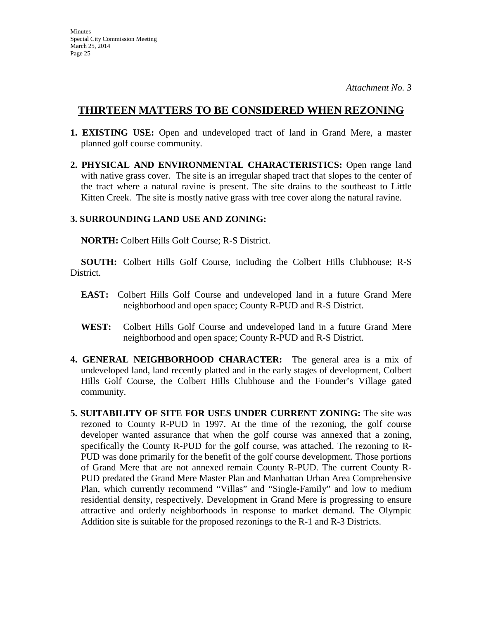# **THIRTEEN MATTERS TO BE CONSIDERED WHEN REZONING**

- **1. EXISTING USE:** Open and undeveloped tract of land in Grand Mere, a master planned golf course community.
- **2. PHYSICAL AND ENVIRONMENTAL CHARACTERISTICS:** Open range land with native grass cover. The site is an irregular shaped tract that slopes to the center of the tract where a natural ravine is present. The site drains to the southeast to Little Kitten Creek. The site is mostly native grass with tree cover along the natural ravine.

### **3. SURROUNDING LAND USE AND ZONING:**

 **NORTH:** Colbert Hills Golf Course; R-S District.

**SOUTH:** Colbert Hills Golf Course, including the Colbert Hills Clubhouse; R-S District.

- **EAST:** Colbert Hills Golf Course and undeveloped land in a future Grand Mere neighborhood and open space; County R-PUD and R-S District.
- **WEST:** Colbert Hills Golf Course and undeveloped land in a future Grand Mere neighborhood and open space; County R-PUD and R-S District.
- **4. GENERAL NEIGHBORHOOD CHARACTER:** The general area is a mix of undeveloped land, land recently platted and in the early stages of development, Colbert Hills Golf Course, the Colbert Hills Clubhouse and the Founder's Village gated community.
- **5. SUITABILITY OF SITE FOR USES UNDER CURRENT ZONING:** The site was rezoned to County R-PUD in 1997. At the time of the rezoning, the golf course developer wanted assurance that when the golf course was annexed that a zoning, specifically the County R-PUD for the golf course, was attached. The rezoning to R-PUD was done primarily for the benefit of the golf course development. Those portions of Grand Mere that are not annexed remain County R-PUD. The current County R-PUD predated the Grand Mere Master Plan and Manhattan Urban Area Comprehensive Plan, which currently recommend "Villas" and "Single-Family" and low to medium residential density, respectively. Development in Grand Mere is progressing to ensure attractive and orderly neighborhoods in response to market demand. The Olympic Addition site is suitable for the proposed rezonings to the R-1 and R-3 Districts.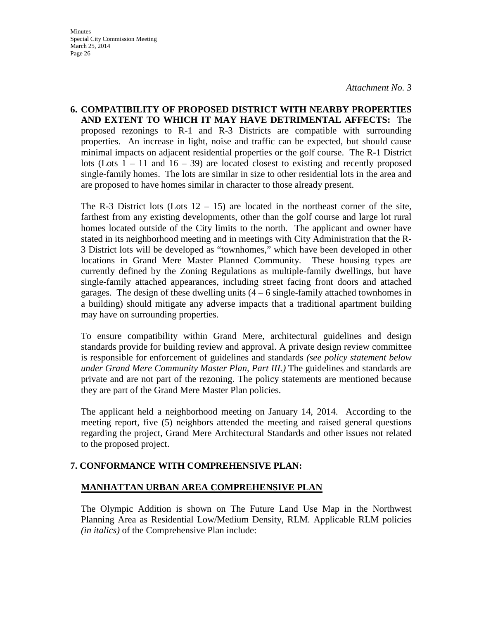**6. COMPATIBILITY OF PROPOSED DISTRICT WITH NEARBY PROPERTIES AND EXTENT TO WHICH IT MAY HAVE DETRIMENTAL AFFECTS:** The proposed rezonings to R-1 and R-3 Districts are compatible with surrounding properties. An increase in light, noise and traffic can be expected, but should cause minimal impacts on adjacent residential properties or the golf course. The R-1 District lots (Lots  $1 - 11$  and  $16 - 39$ ) are located closest to existing and recently proposed single-family homes. The lots are similar in size to other residential lots in the area and are proposed to have homes similar in character to those already present.

The R-3 District lots (Lots  $12 - 15$ ) are located in the northeast corner of the site, farthest from any existing developments, other than the golf course and large lot rural homes located outside of the City limits to the north. The applicant and owner have stated in its neighborhood meeting and in meetings with City Administration that the R-3 District lots will be developed as "townhomes," which have been developed in other locations in Grand Mere Master Planned Community. These housing types are currently defined by the Zoning Regulations as multiple-family dwellings, but have single-family attached appearances, including street facing front doors and attached garages. The design of these dwelling units  $(4 - 6$  single-family attached townhomes in a building) should mitigate any adverse impacts that a traditional apartment building may have on surrounding properties.

To ensure compatibility within Grand Mere, architectural guidelines and design standards provide for building review and approval. A private design review committee is responsible for enforcement of guidelines and standards *(see policy statement below under Grand Mere Community Master Plan, Part III.)* The guidelines and standards are private and are not part of the rezoning. The policy statements are mentioned because they are part of the Grand Mere Master Plan policies.

The applicant held a neighborhood meeting on January 14, 2014. According to the meeting report, five (5) neighbors attended the meeting and raised general questions regarding the project, Grand Mere Architectural Standards and other issues not related to the proposed project.

# **7. CONFORMANCE WITH COMPREHENSIVE PLAN:**

### **MANHATTAN URBAN AREA COMPREHENSIVE PLAN**

The Olympic Addition is shown on The Future Land Use Map in the Northwest Planning Area as Residential Low/Medium Density, RLM. Applicable RLM policies *(in italics)* of the Comprehensive Plan include: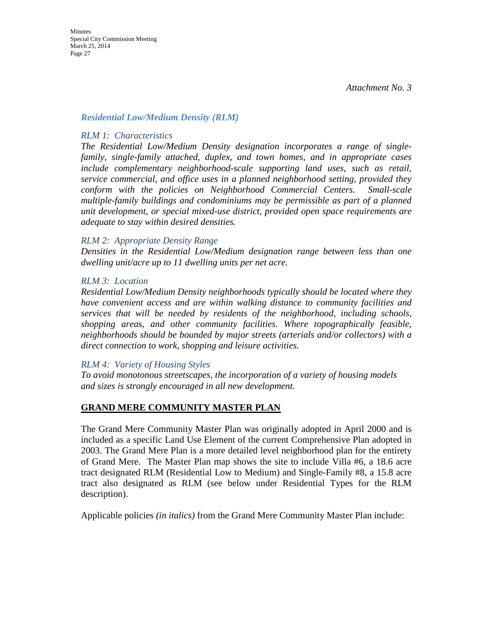#### *Residential Low/Medium Density (RLM)*

#### *RLM 1: Characteristics*

*The Residential Low/Medium Density designation incorporates a range of singlefamily, single-family attached, duplex, and town homes, and in appropriate cases include complementary neighborhood-scale supporting land uses, such as retail, service commercial, and office uses in a planned neighborhood setting, provided they conform with the policies on Neighborhood Commercial Centers. Small-scale multiple-family buildings and condominiums may be permissible as part of a planned unit development, or special mixed-use district, provided open space requirements are adequate to stay within desired densities.* 

#### *RLM 2: Appropriate Density Range*

*Densities in the Residential Low/Medium designation range between less than one dwelling unit/acre up to 11 dwelling units per net acre.* 

#### *RLM 3: Location*

*Residential Low/Medium Density neighborhoods typically should be located where they have convenient access and are within walking distance to community facilities and services that will be needed by residents of the neighborhood, including schools, shopping areas, and other community facilities. Where topographically feasible, neighborhoods should be bounded by major streets (arterials and/or collectors) with a direct connection to work, shopping and leisure activities.* 

#### *RLM 4: Variety of Housing Styles*

*To avoid monotonous streetscapes, the incorporation of a variety of housing models and sizes is strongly encouraged in all new development.* 

#### **GRAND MERE COMMUNITY MASTER PLAN**

The Grand Mere Community Master Plan was originally adopted in April 2000 and is included as a specific Land Use Element of the current Comprehensive Plan adopted in 2003. The Grand Mere Plan is a more detailed level neighborhood plan for the entirety of Grand Mere. The Master Plan map shows the site to include Villa #6, a 18.6 acre tract designated RLM (Residential Low to Medium) and Single-Family #8, a 15.8 acre tract also designated as RLM (see below under Residential Types for the RLM description).

Applicable policies *(in italics)* from the Grand Mere Community Master Plan include: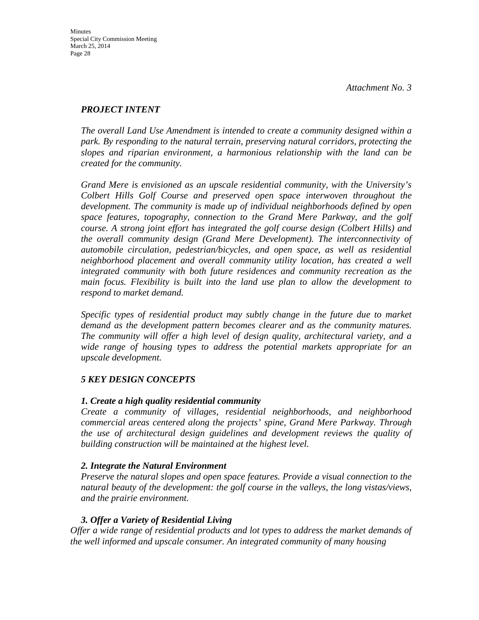### *PROJECT INTENT*

*The overall Land Use Amendment is intended to create a community designed within a park. By responding to the natural terrain, preserving natural corridors, protecting the slopes and riparian environment, a harmonious relationship with the land can be created for the community.* 

*Grand Mere is envisioned as an upscale residential community, with the University's Colbert Hills Golf Course and preserved open space interwoven throughout the development. The community is made up of individual neighborhoods defined by open space features, topography, connection to the Grand Mere Parkway, and the golf course. A strong joint effort has integrated the golf course design (Colbert Hills) and the overall community design (Grand Mere Development). The interconnectivity of automobile circulation, pedestrian/bicycles, and open space, as well as residential neighborhood placement and overall community utility location, has created a well integrated community with both future residences and community recreation as the main focus. Flexibility is built into the land use plan to allow the development to respond to market demand.* 

*Specific types of residential product may subtly change in the future due to market demand as the development pattern becomes clearer and as the community matures. The community will offer a high level of design quality, architectural variety, and a wide range of housing types to address the potential markets appropriate for an upscale development.* 

# *5 KEY DESIGN CONCEPTS*

### *1. Create a high quality residential community*

*Create a community of villages, residential neighborhoods, and neighborhood commercial areas centered along the projects' spine, Grand Mere Parkway. Through the use of architectural design guidelines and development reviews the quality of building construction will be maintained at the highest level.* 

### *2. Integrate the Natural Environment*

*Preserve the natural slopes and open space features. Provide a visual connection to the natural beauty of the development: the golf course in the valleys, the long vistas/views, and the prairie environment.* 

# *3. Offer a Variety of Residential Living*

*Offer a wide range of residential products and lot types to address the market demands of the well informed and upscale consumer. An integrated community of many housing*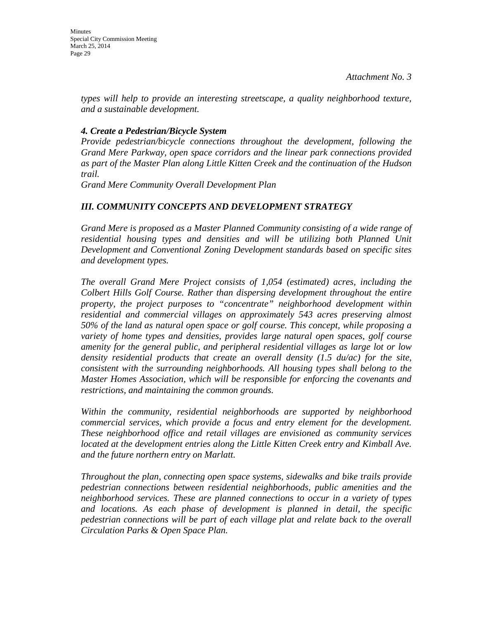*types will help to provide an interesting streetscape, a quality neighborhood texture, and a sustainable development.* 

### *4. Create a Pedestrian/Bicycle System*

*Provide pedestrian/bicycle connections throughout the development, following the Grand Mere Parkway, open space corridors and the linear park connections provided as part of the Master Plan along Little Kitten Creek and the continuation of the Hudson trail.*

*Grand Mere Community Overall Development Plan* 

# *III. COMMUNITY CONCEPTS AND DEVELOPMENT STRATEGY*

*Grand Mere is proposed as a Master Planned Community consisting of a wide range of residential housing types and densities and will be utilizing both Planned Unit Development and Conventional Zoning Development standards based on specific sites and development types.* 

*The overall Grand Mere Project consists of 1,054 (estimated) acres, including the Colbert Hills Golf Course. Rather than dispersing development throughout the entire property, the project purposes to "concentrate" neighborhood development within residential and commercial villages on approximately 543 acres preserving almost 50% of the land as natural open space or golf course. This concept, while proposing a variety of home types and densities, provides large natural open spaces, golf course amenity for the general public, and peripheral residential villages as large lot or low density residential products that create an overall density (1.5 du/ac) for the site, consistent with the surrounding neighborhoods. All housing types shall belong to the Master Homes Association, which will be responsible for enforcing the covenants and restrictions, and maintaining the common grounds.* 

*Within the community, residential neighborhoods are supported by neighborhood commercial services, which provide a focus and entry element for the development. These neighborhood office and retail villages are envisioned as community services located at the development entries along the Little Kitten Creek entry and Kimball Ave. and the future northern entry on Marlatt.* 

*Throughout the plan, connecting open space systems, sidewalks and bike trails provide pedestrian connections between residential neighborhoods, public amenities and the neighborhood services. These are planned connections to occur in a variety of types and locations. As each phase of development is planned in detail, the specific pedestrian connections will be part of each village plat and relate back to the overall Circulation Parks & Open Space Plan.*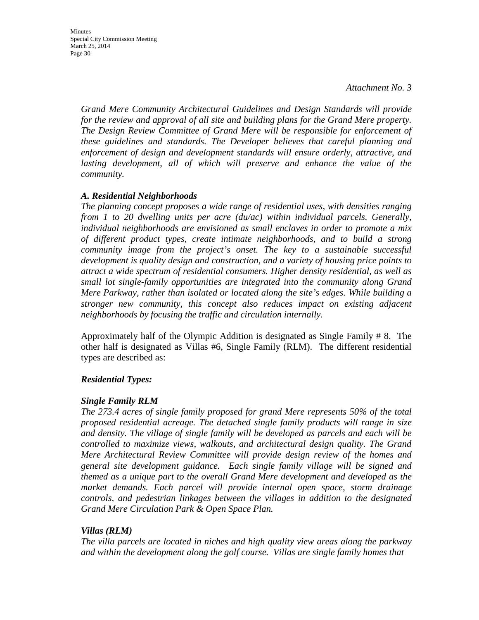*Grand Mere Community Architectural Guidelines and Design Standards will provide for the review and approval of all site and building plans for the Grand Mere property. The Design Review Committee of Grand Mere will be responsible for enforcement of these guidelines and standards. The Developer believes that careful planning and enforcement of design and development standards will ensure orderly, attractive, and*  lasting development, all of which will preserve and enhance the value of the *community.* 

#### *A. Residential Neighborhoods*

*The planning concept proposes a wide range of residential uses, with densities ranging from 1 to 20 dwelling units per acre (du/ac) within individual parcels. Generally, individual neighborhoods are envisioned as small enclaves in order to promote a mix of different product types, create intimate neighborhoods, and to build a strong community image from the project's onset. The key to a sustainable successful development is quality design and construction, and a variety of housing price points to attract a wide spectrum of residential consumers. Higher density residential, as well as small lot single-family opportunities are integrated into the community along Grand Mere Parkway, rather than isolated or located along the site's edges. While building a stronger new community, this concept also reduces impact on existing adjacent neighborhoods by focusing the traffic and circulation internally.* 

Approximately half of the Olympic Addition is designated as Single Family # 8. The other half is designated as Villas #6, Single Family (RLM). The different residential types are described as:

#### *Residential Types:*

#### *Single Family RLM*

*The 273.4 acres of single family proposed for grand Mere represents 50% of the total proposed residential acreage. The detached single family products will range in size and density. The village of single family will be developed as parcels and each will be controlled to maximize views, walkouts, and architectural design quality. The Grand Mere Architectural Review Committee will provide design review of the homes and general site development guidance. Each single family village will be signed and themed as a unique part to the overall Grand Mere development and developed as the market demands. Each parcel will provide internal open space, storm drainage controls, and pedestrian linkages between the villages in addition to the designated Grand Mere Circulation Park & Open Space Plan.* 

#### *Villas (RLM)*

*The villa parcels are located in niches and high quality view areas along the parkway and within the development along the golf course. Villas are single family homes that*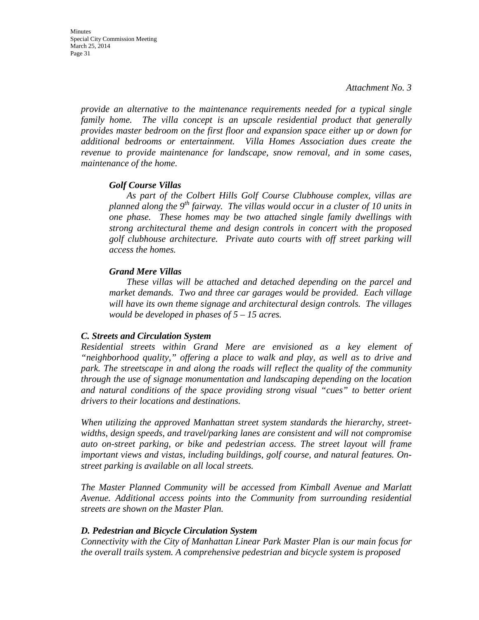*provide an alternative to the maintenance requirements needed for a typical single family home. The villa concept is an upscale residential product that generally provides master bedroom on the first floor and expansion space either up or down for additional bedrooms or entertainment. Villa Homes Association dues create the revenue to provide maintenance for landscape, snow removal, and in some cases, maintenance of the home.* 

#### *Golf Course Villas*

*As part of the Colbert Hills Golf Course Clubhouse complex, villas are planned along the 9th fairway. The villas would occur in a cluster of 10 units in one phase. These homes may be two attached single family dwellings with strong architectural theme and design controls in concert with the proposed golf clubhouse architecture. Private auto courts with off street parking will access the homes.*

#### *Grand Mere Villas*

*These villas will be attached and detached depending on the parcel and market demands. Two and three car garages would be provided. Each village will have its own theme signage and architectural design controls. The villages would be developed in phases of 5 – 15 acres.* 

#### *C. Streets and Circulation System*

*Residential streets within Grand Mere are envisioned as a key element of "neighborhood quality," offering a place to walk and play, as well as to drive and park. The streetscape in and along the roads will reflect the quality of the community through the use of signage monumentation and landscaping depending on the location and natural conditions of the space providing strong visual "cues" to better orient drivers to their locations and destinations.* 

*When utilizing the approved Manhattan street system standards the hierarchy, streetwidths, design speeds, and travel/parking lanes are consistent and will not compromise auto on-street parking, or bike and pedestrian access. The street layout will frame important views and vistas, including buildings, golf course, and natural features. Onstreet parking is available on all local streets.* 

*The Master Planned Community will be accessed from Kimball Avenue and Marlatt Avenue. Additional access points into the Community from surrounding residential streets are shown on the Master Plan.* 

#### *D. Pedestrian and Bicycle Circulation System*

*Connectivity with the City of Manhattan Linear Park Master Plan is our main focus for the overall trails system. A comprehensive pedestrian and bicycle system is proposed*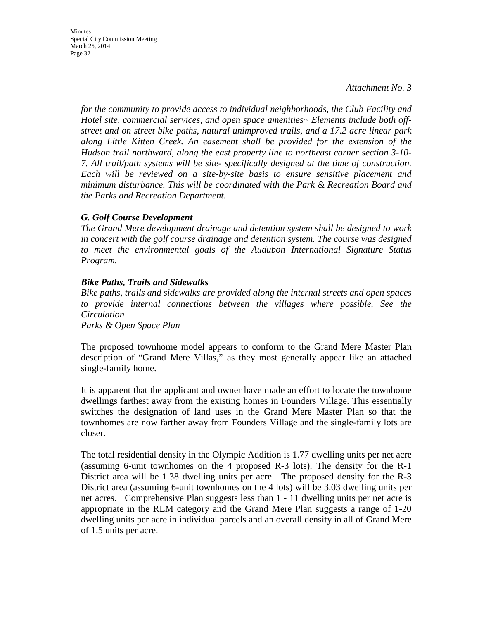*for the community to provide access to individual neighborhoods, the Club Facility and Hotel site, commercial services, and open space amenities~ Elements include both offstreet and on street bike paths, natural unimproved trails, and a 17.2 acre linear park along Little Kitten Creek. An easement shall be provided for the extension of the Hudson trail northward, along the east property line to northeast corner section 3-10- 7. All trail/path systems will be site- specifically designed at the time of construction. Each will be reviewed on a site-by-site basis to ensure sensitive placement and minimum disturbance. This will be coordinated with the Park & Recreation Board and the Parks and Recreation Department.* 

#### *G. Golf Course Development*

*The Grand Mere development drainage and detention system shall be designed to work in concert with the golf course drainage and detention system. The course was designed to meet the environmental goals of the Audubon International Signature Status Program.* 

#### *Bike Paths, Trails and Sidewalks*

*Bike paths, trails and sidewalks are provided along the internal streets and open spaces to provide internal connections between the villages where possible. See the Circulation*

*Parks & Open Space Plan* 

The proposed townhome model appears to conform to the Grand Mere Master Plan description of "Grand Mere Villas," as they most generally appear like an attached single-family home.

It is apparent that the applicant and owner have made an effort to locate the townhome dwellings farthest away from the existing homes in Founders Village. This essentially switches the designation of land uses in the Grand Mere Master Plan so that the townhomes are now farther away from Founders Village and the single-family lots are closer.

The total residential density in the Olympic Addition is 1.77 dwelling units per net acre (assuming 6-unit townhomes on the 4 proposed R-3 lots). The density for the R-1 District area will be 1.38 dwelling units per acre. The proposed density for the R-3 District area (assuming 6-unit townhomes on the 4 lots) will be 3.03 dwelling units per net acres. Comprehensive Plan suggests less than 1 - 11 dwelling units per net acre is appropriate in the RLM category and the Grand Mere Plan suggests a range of 1-20 dwelling units per acre in individual parcels and an overall density in all of Grand Mere of 1.5 units per acre.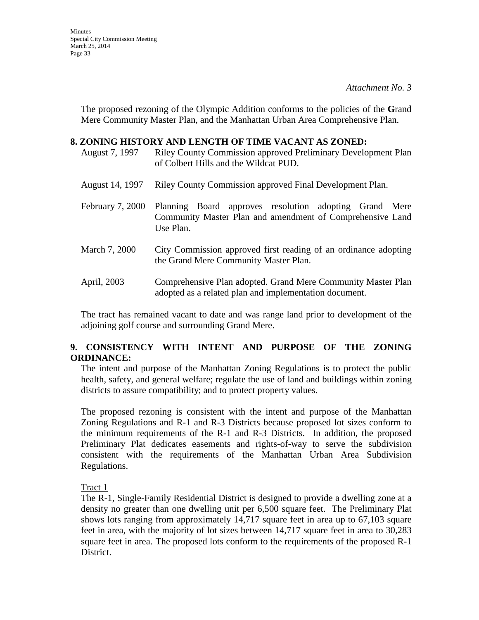**Minutes** Special City Commission Meeting March 25, 2014 Page 33

> The proposed rezoning of the Olympic Addition conforms to the policies of the **G**rand Mere Community Master Plan, and the Manhattan Urban Area Comprehensive Plan.

#### **8. ZONING HISTORY AND LENGTH OF TIME VACANT AS ZONED:**

August 7, 1997 Riley County Commission approved Preliminary Development Plan of Colbert Hills and the Wildcat PUD.

- August 14, 1997 Riley County Commission approved Final Development Plan.
- February 7, 2000 Planning Board approves resolution adopting Grand Mere Community Master Plan and amendment of Comprehensive Land Use Plan.
- March 7, 2000 City Commission approved first reading of an ordinance adopting the Grand Mere Community Master Plan.
- April, 2003 Comprehensive Plan adopted. Grand Mere Community Master Plan adopted as a related plan and implementation document.

The tract has remained vacant to date and was range land prior to development of the adjoining golf course and surrounding Grand Mere.

### **9. CONSISTENCY WITH INTENT AND PURPOSE OF THE ZONING ORDINANCE:**

The intent and purpose of the Manhattan Zoning Regulations is to protect the public health, safety, and general welfare; regulate the use of land and buildings within zoning districts to assure compatibility; and to protect property values.

The proposed rezoning is consistent with the intent and purpose of the Manhattan Zoning Regulations and R-1 and R-3 Districts because proposed lot sizes conform to the minimum requirements of the R-1 and R-3 Districts. In addition, the proposed Preliminary Plat dedicates easements and rights-of-way to serve the subdivision consistent with the requirements of the Manhattan Urban Area Subdivision Regulations.

Tract 1

The R-1, Single-Family Residential District is designed to provide a dwelling zone at a density no greater than one dwelling unit per 6,500 square feet. The Preliminary Plat shows lots ranging from approximately 14,717 square feet in area up to 67,103 square feet in area, with the majority of lot sizes between 14,717 square feet in area to 30,283 square feet in area. The proposed lots conform to the requirements of the proposed R-1 District.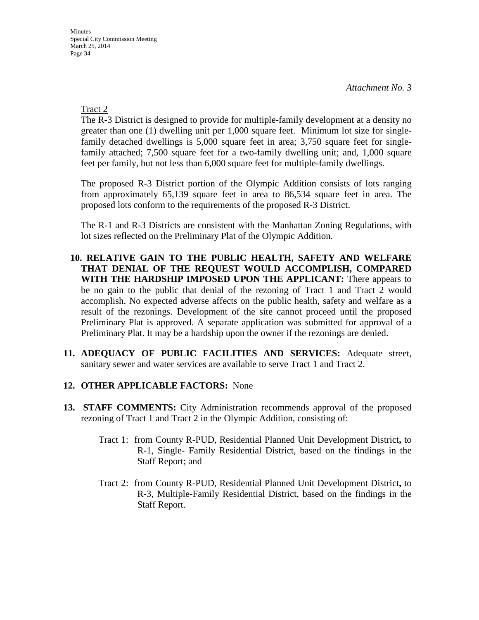Tract 2

The R-3 District is designed to provide for multiple-family development at a density no greater than one (1) dwelling unit per 1,000 square feet. Minimum lot size for singlefamily detached dwellings is 5,000 square feet in area; 3,750 square feet for singlefamily attached; 7,500 square feet for a two-family dwelling unit; and, 1,000 square feet per family, but not less than 6,000 square feet for multiple-family dwellings.

The proposed R-3 District portion of the Olympic Addition consists of lots ranging from approximately 65,139 square feet in area to 86,534 square feet in area. The proposed lots conform to the requirements of the proposed R-3 District.

The R-1 and R-3 Districts are consistent with the Manhattan Zoning Regulations, with lot sizes reflected on the Preliminary Plat of the Olympic Addition.

- **10. RELATIVE GAIN TO THE PUBLIC HEALTH, SAFETY AND WELFARE THAT DENIAL OF THE REQUEST WOULD ACCOMPLISH, COMPARED WITH THE HARDSHIP IMPOSED UPON THE APPLICANT:** There appears to be no gain to the public that denial of the rezoning of Tract 1 and Tract 2 would accomplish. No expected adverse affects on the public health, safety and welfare as a result of the rezonings. Development of the site cannot proceed until the proposed Preliminary Plat is approved. A separate application was submitted for approval of a Preliminary Plat. It may be a hardship upon the owner if the rezonings are denied.
- **11. ADEQUACY OF PUBLIC FACILITIES AND SERVICES:** Adequate street, sanitary sewer and water services are available to serve Tract 1 and Tract 2.
- **12. OTHER APPLICABLE FACTORS:** None
- **13. STAFF COMMENTS:** City Administration recommends approval of the proposed rezoning of Tract 1 and Tract 2 in the Olympic Addition, consisting of:
	- Tract 1: from County R-PUD, Residential Planned Unit Development District**,** to R-1, Single- Family Residential District, based on the findings in the Staff Report; and
	- Tract 2: from County R-PUD, Residential Planned Unit Development District**,** to R-3, Multiple-Family Residential District, based on the findings in the Staff Report.